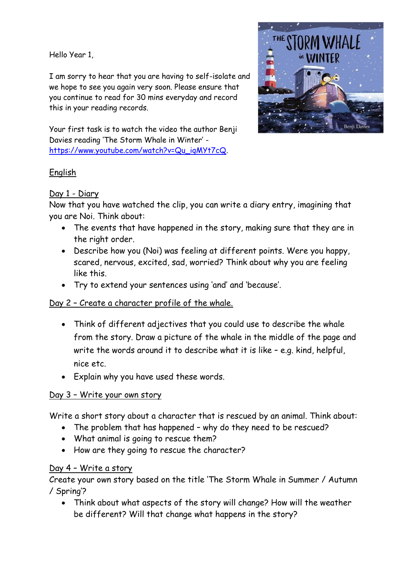Hello Year 1,

I am sorry to hear that you are having to self-isolate and we hope to see you again very soon. Please ensure that you continue to read for 30 mins everyday and record this in your reading records.



Your first task is to watch the video the author Benji Davies reading 'The Storm Whale in Winter' [https://www.youtube.com/watch?v=Qu\\_iqMYt7cQ.](https://www.youtube.com/watch?v=Qu_iqMYt7cQ)

# English

# Day 1 - Diary

Now that you have watched the clip, you can write a diary entry, imagining that you are Noi. Think about:

- The events that have happened in the story, making sure that they are in the right order.
- Describe how you (Noi) was feeling at different points. Were you happy, scared, nervous, excited, sad, worried? Think about why you are feeling like this.
- Try to extend your sentences using 'and' and 'because'.

# Day 2 – Create a character profile of the whale.

- Think of different adjectives that you could use to describe the whale from the story. Draw a picture of the whale in the middle of the page and write the words around it to describe what it is like – e.g. kind, helpful, nice etc.
- Explain why you have used these words.

### Day 3 – Write your own story

Write a short story about a character that is rescued by an animal. Think about:

- The problem that has happened why do they need to be rescued?
- What animal is going to rescue them?
- How are they going to rescue the character?

### Day 4 – Write a story

Create your own story based on the title 'The Storm Whale in Summer / Autumn / Spring'?

• Think about what aspects of the story will change? How will the weather be different? Will that change what happens in the story?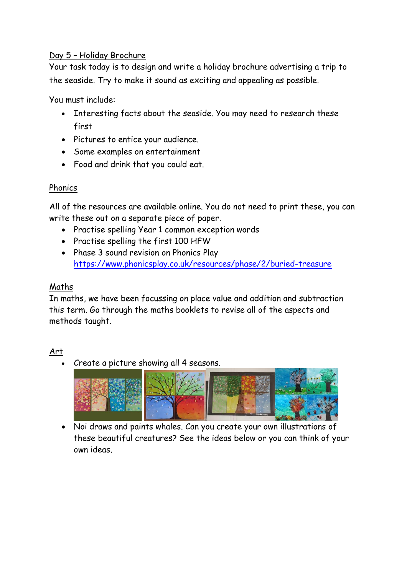### Day 5 – Holiday Brochure

Your task today is to design and write a holiday brochure advertising a trip to the seaside. Try to make it sound as exciting and appealing as possible.

You must include:

- Interesting facts about the seaside. You may need to research these first
- Pictures to entice your audience.
- Some examples on entertainment
- Food and drink that you could eat.

### Phonics

All of the resources are available online. You do not need to print these, you can write these out on a separate piece of paper.

- Practise spelling Year 1 common exception words
- Practise spelling the first 100 HFW
- Phase 3 sound revision on Phonics Play <https://www.phonicsplay.co.uk/resources/phase/2/buried-treasure>

## Maths

In maths, we have been focussing on place value and addition and subtraction this term. Go through the maths booklets to revise all of the aspects and methods taught.

### Art

• Create a picture showing all 4 seasons.



• Noi draws and paints whales. Can you create your own illustrations of these beautiful creatures? See the ideas below or you can think of your own ideas.